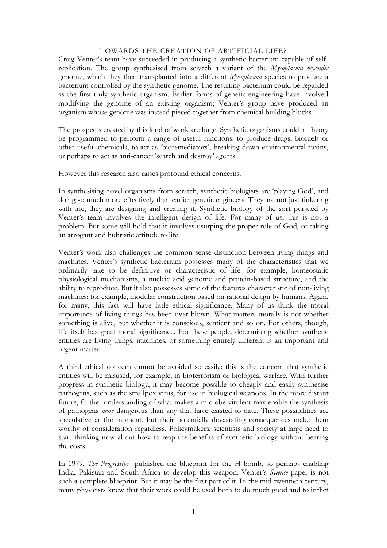## TOWARDS THE CREATION OF ARTIFICIAL LIFE?

Craig Venter's team have succeeded in producing a synthetic bacterium capable of selfreplication. The group synthesised from scratch a variant of the *Mycoplasma mycoides* genome, which they then transplanted into a different *Mycoplasma* species to produce a bacterium controlled by the synthetic genome. The resulting bacterium could be regarded as the first truly synthetic organism. Earlier forms of genetic engineering have involved modifying the genome of an existing organism; Venter's group have produced an organism whose genome was instead pieced together from chemical building blocks.

The prospects created by this kind of work are huge. Synthetic organisms could in theory be programmed to perform a range of useful functions: to produce drugs, biofuels or other useful chemicals, to act as 'bioremediators', breaking down environmental toxins, or perhaps to act as anti-cancer 'search and destroy' agents.

However this research also raises profound ethical concerns.

In synthesising novel organisms from scratch, synthetic biologists are 'playing God', and doing so much more effectively than earlier genetic engineers. They are not just tinkering with life, they are designing and creating it. Synthetic biology of the sort pursued by Venter's team involves the intelligent design of life. For many of us, this is not a problem. But some will hold that it involves usurping the proper role of God, or taking an arrogant and hubristic attitude to life.

Venter's work also challenges the common sense distinction between living things and machines. Venter's synthetic bacterium possesses many of the characteristics that we ordinarily take to be definitive or characteristic of life: for example, homeostatic physiological mechanisms, a nucleic acid genome and protein-based structure, and the ability to reproduce. But it also possesses some of the features characteristic of non-living machines: for example, modular construction based on rational design by humans. Again, for many, this fact will have little ethical significance. Many of us think the moral importance of living things has been over-blown. What matters morally is not whether something is alive, but whether it is conscious, sentient and so on. For others, though, life itself has great moral significance. For these people, determining whether synthetic entities are living things, machines, or something entirely different is an important and urgent matter.

A third ethical concern cannot be avoided so easily: this is the concern that synthetic entities will be misused, for example, in bioterrorism or biological warfare. With further progress in synthetic biology, it may become possible to cheaply and easily synthesise pathogens, such as the smallpox virus, for use in biological weapons. In the more distant future, further understanding of what makes a microbe virulent may enable the synthesis of pathogens *more* dangerous than any that have existed to date. These possibilities are speculative at the moment, but their potentially devastating consequences make them worthy of consideration regardless. Policymakers, scientists and society at large need to start thinking now about how to reap the benefits of synthetic biology without bearing the costs.

In 1979, *The Progressive* published the blueprint for the H bomb, so perhaps enabling India, Pakistan and South Africa to develop this weapon. Venter's *Science* paper is not such a complete blueprint. But it may be the first part of it. In the mid-twentieth century, many physicists knew that their work could be used both to do much good and to inflict